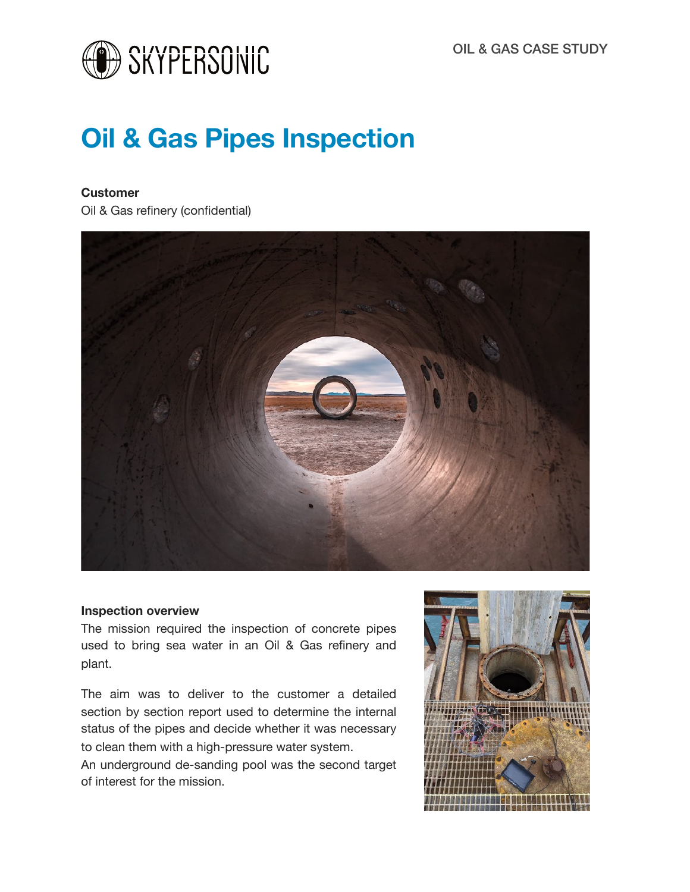

# **Oil & Gas Pipes Inspection**

### **Customer**

Oil & Gas refinery (confidential)



#### **Inspection overview**

The mission required the inspection of concrete pipes used to bring sea water in an Oil & Gas refinery and plant.

The aim was to deliver to the customer a detailed section by section report used to determine the internal status of the pipes and decide whether it was necessary to clean them with a high-pressure water system.

An underground de-sanding pool was the second target of interest for the mission.

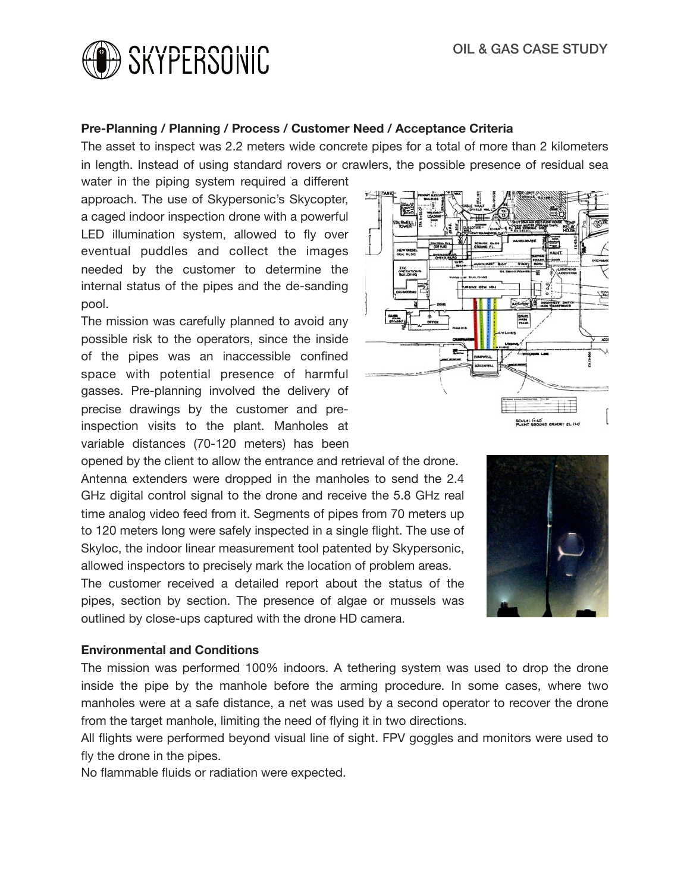

#### **Pre-Planning / Planning / Process / Customer Need / Acceptance Criteria**

The asset to inspect was 2.2 meters wide concrete pipes for a total of more than 2 kilometers in length. Instead of using standard rovers or crawlers, the possible presence of residual sea

water in the piping system required a different approach. The use of Skypersonic's Skycopter, a caged indoor inspection drone with a powerful LED illumination system, allowed to fly over eventual puddles and collect the images needed by the customer to determine the internal status of the pipes and the de-sanding pool.

The mission was carefully planned to avoid any possible risk to the operators, since the inside of the pipes was an inaccessible confined space with potential presence of harmful gasses. Pre-planning involved the delivery of precise drawings by the customer and preinspection visits to the plant. Manholes at variable distances (70-120 meters) has been

opened by the client to allow the entrance and retrieval of the drone. Antenna extenders were dropped in the manholes to send the 2.4 GHz digital control signal to the drone and receive the 5.8 GHz real time analog video feed from it. Segments of pipes from 70 meters up to 120 meters long were safely inspected in a single flight. The use of Skyloc, the indoor linear measurement tool patented by Skypersonic, allowed inspectors to precisely mark the location of problem areas.

The customer received a detailed report about the status of the pipes, section by section. The presence of algae or mussels was outlined by close-ups captured with the drone HD camera.

#### **Environmental and Conditions**

The mission was performed 100% indoors. A tethering system was used to drop the drone inside the pipe by the manhole before the arming procedure. In some cases, where two manholes were at a safe distance, a net was used by a second operator to recover the drone from the target manhole, limiting the need of flying it in two directions.

All flights were performed beyond visual line of sight. FPV goggles and monitors were used to fly the drone in the pipes.

No flammable fluids or radiation were expected.